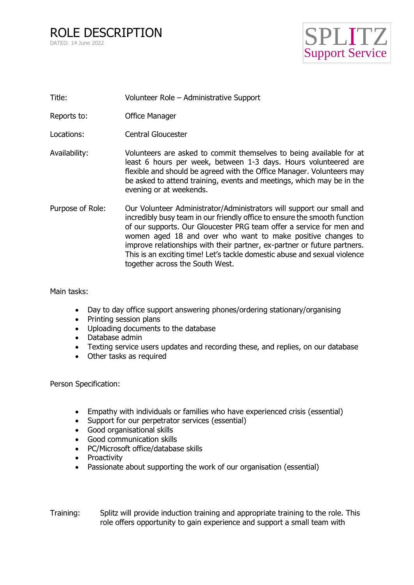

- Title: Volunteer Role Administrative Support
- Reports to: Office Manager
- Locations: Central Gloucester
- Availability: Volunteers are asked to commit themselves to being available for at least 6 hours per week, between 1-3 days. Hours volunteered are flexible and should be agreed with the Office Manager. Volunteers may be asked to attend training, events and meetings, which may be in the evening or at weekends.
- Purpose of Role: Our Volunteer Administrator/Administrators will support our small and incredibly busy team in our friendly office to ensure the smooth function of our supports. Our Gloucester PRG team offer a service for men and women aged 18 and over who want to make positive changes to improve relationships with their partner, ex-partner or future partners. This is an exciting time! Let's tackle domestic abuse and sexual violence together across the South West.

Main tasks:

- Day to day office support answering phones/ordering stationary/organising
- Printing session plans
- Uploading documents to the database
- Database admin
- Texting service users updates and recording these, and replies, on our database
- Other tasks as required

Person Specification:

- Empathy with individuals or families who have experienced crisis (essential)
- Support for our perpetrator services (essential)
- Good organisational skills
- Good communication skills
- PC/Microsoft office/database skills
- Proactivity
- Passionate about supporting the work of our organisation (essential)

Training: Splitz will provide induction training and appropriate training to the role. This role offers opportunity to gain experience and support a small team with